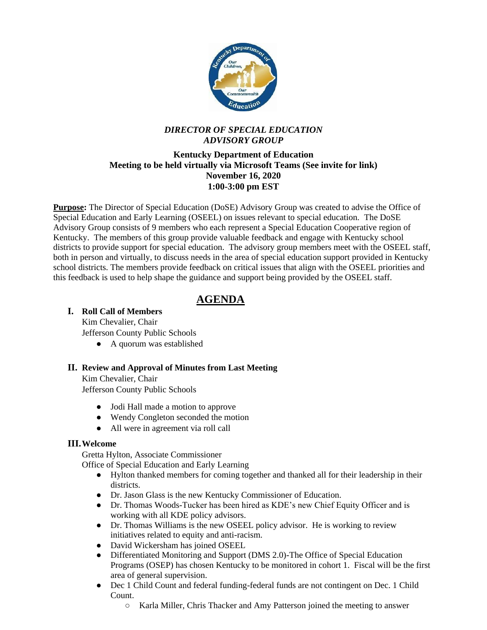

## *DIRECTOR OF SPECIAL EDUCATION ADVISORY GROUP*

#### **Kentucky Department of Education Meeting to be held virtually via Microsoft Teams (See invite for link) November 16, 2020 1:00-3:00 pm EST**

**Purpose:** The Director of Special Education (DoSE) Advisory Group was created to advise the Office of Special Education and Early Learning (OSEEL) on issues relevant to special education. The DoSE Advisory Group consists of 9 members who each represent a Special Education Cooperative region of Kentucky. The members of this group provide valuable feedback and engage with Kentucky school districts to provide support for special education. The advisory group members meet with the OSEEL staff, both in person and virtually, to discuss needs in the area of special education support provided in Kentucky school districts. The members provide feedback on critical issues that align with the OSEEL priorities and this feedback is used to help shape the guidance and support being provided by the OSEEL staff.

# **AGENDA**

#### **I. Roll Call of Members**

Kim Chevalier, Chair Jefferson County Public Schools

• A quorum was established

## **II. Review and Approval of Minutes from Last Meeting**

Kim Chevalier, Chair Jefferson County Public Schools

- Jodi Hall made a motion to approve
- Wendy Congleton seconded the motion
- All were in agreement via roll call

#### **III.Welcome**

Gretta Hylton, Associate Commissioner

Office of Special Education and Early Learning

- Hylton thanked members for coming together and thanked all for their leadership in their districts.
- Dr. Jason Glass is the new Kentucky Commissioner of Education.
- Dr. Thomas Woods-Tucker has been hired as KDE's new Chief Equity Officer and is working with all KDE policy advisors.
- Dr. Thomas Williams is the new OSEEL policy advisor. He is working to review initiatives related to equity and anti-racism.
- David Wickersham has joined OSEEL
- Differentiated Monitoring and Support (DMS 2.0)-The Office of Special Education Programs (OSEP) has chosen Kentucky to be monitored in cohort 1. Fiscal will be the first area of general supervision.
- Dec 1 Child Count and federal funding-federal funds are not contingent on Dec. 1 Child Count.
	- Karla Miller, Chris Thacker and Amy Patterson joined the meeting to answer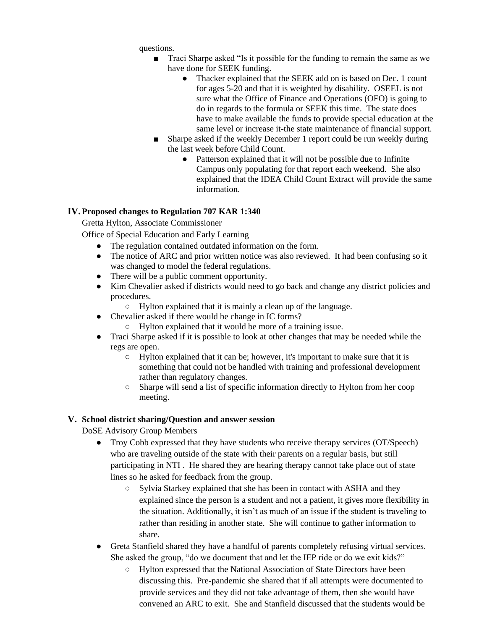questions.

- Traci Sharpe asked "Is it possible for the funding to remain the same as we have done for SEEK funding.
	- Thacker explained that the SEEK add on is based on Dec. 1 count for ages 5-20 and that it is weighted by disability. OSEEL is not sure what the Office of Finance and Operations (OFO) is going to do in regards to the formula or SEEK this time. The state does have to make available the funds to provide special education at the same level or increase it-the state maintenance of financial support.
- Sharpe asked if the weekly December 1 report could be run weekly during the last week before Child Count.
	- Patterson explained that it will not be possible due to Infinite Campus only populating for that report each weekend. She also explained that the IDEA Child Count Extract will provide the same information.

#### **IV.Proposed changes to Regulation 707 KAR 1:340**

Gretta Hylton, Associate Commissioner

Office of Special Education and Early Learning

- The regulation contained outdated information on the form.
- The notice of ARC and prior written notice was also reviewed. It had been confusing so it was changed to model the federal regulations.
- There will be a public comment opportunity.
- Kim Chevalier asked if districts would need to go back and change any district policies and procedures.
	- Hylton explained that it is mainly a clean up of the language.
- Chevalier asked if there would be change in IC forms?
	- Hylton explained that it would be more of a training issue.
- Traci Sharpe asked if it is possible to look at other changes that may be needed while the regs are open.
	- Hylton explained that it can be; however, it's important to make sure that it is something that could not be handled with training and professional development rather than regulatory changes.
	- Sharpe will send a list of specific information directly to Hylton from her coop meeting.

#### **V. School district sharing/Question and answer session**

DoSE Advisory Group Members

- Troy Cobb expressed that they have students who receive therapy services (OT/Speech) who are traveling outside of the state with their parents on a regular basis, but still participating in NTI . He shared they are hearing therapy cannot take place out of state lines so he asked for feedback from the group.
	- Sylvia Starkey explained that she has been in contact with ASHA and they explained since the person is a student and not a patient, it gives more flexibility in the situation. Additionally, it isn't as much of an issue if the student is traveling to rather than residing in another state. She will continue to gather information to share.
- Greta Stanfield shared they have a handful of parents completely refusing virtual services. She asked the group, "do we document that and let the IEP ride or do we exit kids?"
	- Hylton expressed that the National Association of State Directors have been discussing this. Pre-pandemic she shared that if all attempts were documented to provide services and they did not take advantage of them, then she would have convened an ARC to exit. She and Stanfield discussed that the students would be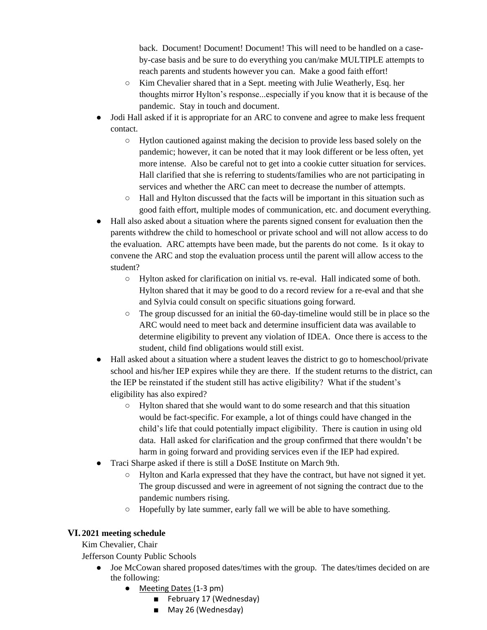back. Document! Document! Document! This will need to be handled on a caseby-case basis and be sure to do everything you can/make MULTIPLE attempts to reach parents and students however you can. Make a good faith effort!

- Kim Chevalier shared that in a Sept. meeting with Julie Weatherly, Esq. her thoughts mirror Hylton's response...especially if you know that it is because of the pandemic. Stay in touch and document.
- Jodi Hall asked if it is appropriate for an ARC to convene and agree to make less frequent contact.
	- Hytlon cautioned against making the decision to provide less based solely on the pandemic; however, it can be noted that it may look different or be less often, yet more intense. Also be careful not to get into a cookie cutter situation for services. Hall clarified that she is referring to students/families who are not participating in services and whether the ARC can meet to decrease the number of attempts.
	- $\circ$  Hall and Hylton discussed that the facts will be important in this situation such as good faith effort, multiple modes of communication, etc. and document everything.
- Hall also asked about a situation where the parents signed consent for evaluation then the parents withdrew the child to homeschool or private school and will not allow access to do the evaluation. ARC attempts have been made, but the parents do not come. Is it okay to convene the ARC and stop the evaluation process until the parent will allow access to the student?
	- Hylton asked for clarification on initial vs. re-eval. Hall indicated some of both. Hylton shared that it may be good to do a record review for a re-eval and that she and Sylvia could consult on specific situations going forward.
	- $\circ$  The group discussed for an initial the 60-day-timeline would still be in place so the ARC would need to meet back and determine insufficient data was available to determine eligibility to prevent any violation of IDEA. Once there is access to the student, child find obligations would still exist.
- Hall asked about a situation where a student leaves the district to go to homeschool/private school and his/her IEP expires while they are there. If the student returns to the district, can the IEP be reinstated if the student still has active eligibility? What if the student's eligibility has also expired?
	- Hylton shared that she would want to do some research and that this situation would be fact-specific. For example, a lot of things could have changed in the child's life that could potentially impact eligibility. There is caution in using old data. Hall asked for clarification and the group confirmed that there wouldn't be harm in going forward and providing services even if the IEP had expired.
- Traci Sharpe asked if there is still a DoSE Institute on March 9th.
	- Hylton and Karla expressed that they have the contract, but have not signed it yet. The group discussed and were in agreement of not signing the contract due to the pandemic numbers rising.
	- Hopefully by late summer, early fall we will be able to have something.

# **VI. 2021 meeting schedule**

Kim Chevalier, Chair

Jefferson County Public Schools

- Joe McCowan shared proposed dates/times with the group. The dates/times decided on are the following:
	- Meeting Dates (1-3 pm)
		- February 17 (Wednesday)
		- May 26 (Wednesday)